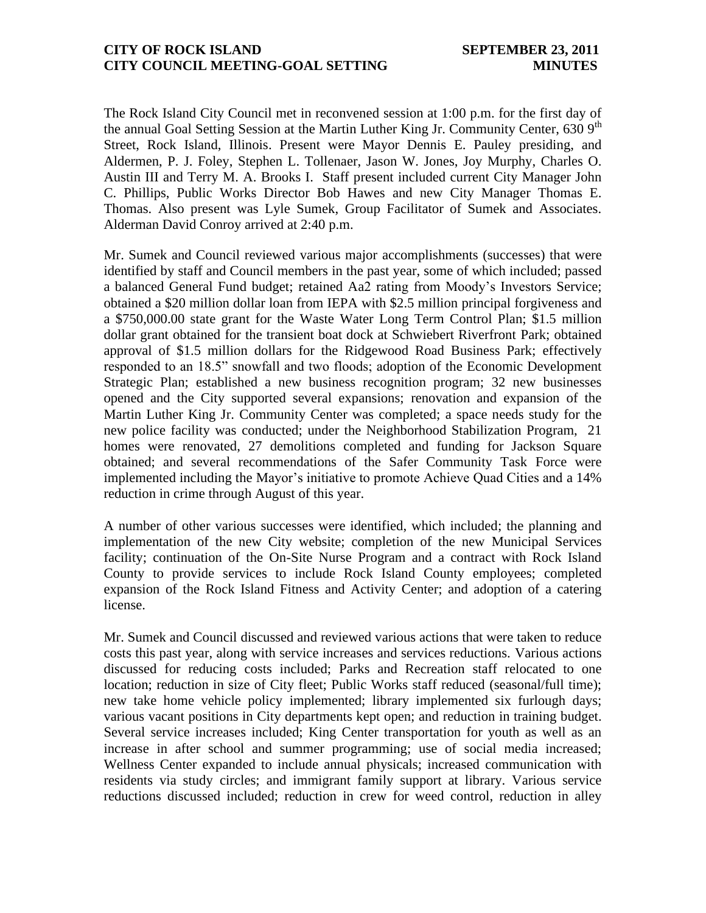## **CITY OF ROCK ISLAND SEPTEMBER 23, 2011 CITY COUNCIL MEETING-GOAL SETTING MINUTES**

The Rock Island City Council met in reconvened session at 1:00 p.m. for the first day of the annual Goal Setting Session at the Martin Luther King Jr. Community Center, 630 9<sup>th</sup> Street, Rock Island, Illinois. Present were Mayor Dennis E. Pauley presiding, and Aldermen, P. J. Foley, Stephen L. Tollenaer, Jason W. Jones, Joy Murphy, Charles O. Austin III and Terry M. A. Brooks I. Staff present included current City Manager John C. Phillips, Public Works Director Bob Hawes and new City Manager Thomas E. Thomas. Also present was Lyle Sumek, Group Facilitator of Sumek and Associates. Alderman David Conroy arrived at 2:40 p.m.

Mr. Sumek and Council reviewed various major accomplishments (successes) that were identified by staff and Council members in the past year, some of which included; passed a balanced General Fund budget; retained Aa2 rating from Moody's Investors Service; obtained a \$20 million dollar loan from IEPA with \$2.5 million principal forgiveness and a \$750,000.00 state grant for the Waste Water Long Term Control Plan; \$1.5 million dollar grant obtained for the transient boat dock at Schwiebert Riverfront Park; obtained approval of \$1.5 million dollars for the Ridgewood Road Business Park; effectively responded to an 18.5" snowfall and two floods; adoption of the Economic Development Strategic Plan; established a new business recognition program; 32 new businesses opened and the City supported several expansions; renovation and expansion of the Martin Luther King Jr. Community Center was completed; a space needs study for the new police facility was conducted; under the Neighborhood Stabilization Program, 21 homes were renovated, 27 demolitions completed and funding for Jackson Square obtained; and several recommendations of the Safer Community Task Force were implemented including the Mayor's initiative to promote Achieve Quad Cities and a 14% reduction in crime through August of this year.

A number of other various successes were identified, which included; the planning and implementation of the new City website; completion of the new Municipal Services facility; continuation of the On-Site Nurse Program and a contract with Rock Island County to provide services to include Rock Island County employees; completed expansion of the Rock Island Fitness and Activity Center; and adoption of a catering license.

Mr. Sumek and Council discussed and reviewed various actions that were taken to reduce costs this past year, along with service increases and services reductions. Various actions discussed for reducing costs included; Parks and Recreation staff relocated to one location; reduction in size of City fleet; Public Works staff reduced (seasonal/full time); new take home vehicle policy implemented; library implemented six furlough days; various vacant positions in City departments kept open; and reduction in training budget. Several service increases included; King Center transportation for youth as well as an increase in after school and summer programming; use of social media increased; Wellness Center expanded to include annual physicals; increased communication with residents via study circles; and immigrant family support at library. Various service reductions discussed included; reduction in crew for weed control, reduction in alley